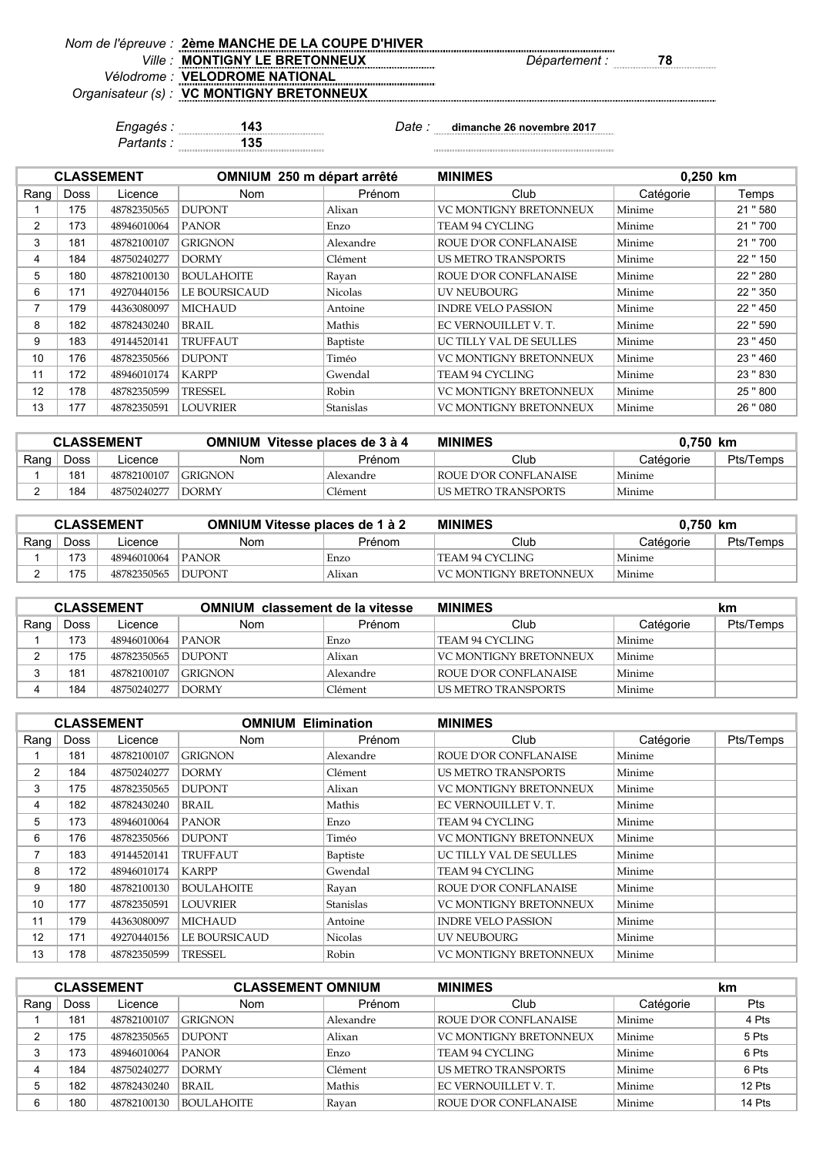| Nom de l'épreuve : 2ème MANCHE DE LA COUPE D'HIVER |                      |  |
|----------------------------------------------------|----------------------|--|
| <i>Ville:</i> MONTIGNY LE BRETONNEUX               | <i>Département :</i> |  |
| Vélodrome : <b>VELODROME NATIONAL</b>              |                      |  |
| Organisateur (s) : VC MONTIGNY BRETONNEUX          |                      |  |
|                                                    |                      |  |

*Partants :* **135**

*Engagés :* **143** *Date :* **dimanche 26 novembre 2017**

|                          |             | <b>CLASSEMENT</b> | OMNIUM 250 m départ arrêté |                | <b>MINIMES</b><br>0,250 km    |           |          |
|--------------------------|-------------|-------------------|----------------------------|----------------|-------------------------------|-----------|----------|
| Rang                     | <b>Doss</b> | Licence           | <b>Nom</b>                 | Prénom         | Club                          | Catégorie | Temps    |
|                          | 175         | 48782350565       | <b>DUPONT</b>              | Alixan         | <b>VC MONTIGNY BRETONNEUX</b> | Minime    | 21 "580  |
| 2                        | 173         | 48946010064       | <b>PANOR</b>               | Enzo           | TEAM 94 CYCLING               | Minime    | 21 "700  |
| 3                        | 181         | 48782100107       | <b>GRIGNON</b>             | Alexandre      | ROUE D'OR CONFLANAISE         | Minime    | 21 "700  |
| 4                        | 184         | 48750240277       | <b>DORMY</b>               | Clément        | <b>US METRO TRANSPORTS</b>    | Minime    | 22 " 150 |
| 5                        | 180         | 48782100130       | <b>BOULAHOITE</b>          | Rayan          | ROUE D'OR CONFLANAISE         | Minime    | 22 " 280 |
| 6                        | 171         | 49270440156       | <b>LE BOURSICAUD</b>       | <b>Nicolas</b> | <b>UV NEUBOURG</b>            | Minime    | 22 " 350 |
| $\overline{\phantom{a}}$ | 179         | 44363080097       | <b>MICHAUD</b>             | Antoine        | <b>INDRE VELO PASSION</b>     | Minime    | 22 "450  |
| 8                        | 182         | 48782430240       | BRAIL                      | Mathis         | EC VERNOUILLET V.T.           | Minime    | 22 " 590 |
| 9                        | 183         | 49144520141       | <b>TRUFFAUT</b>            | Baptiste       | UC TILLY VAL DE SEULLES       | Minime    | 23 "450  |
| 10                       | 176         | 48782350566       | <b>DUPONT</b>              | Timéo          | <b>VC MONTIGNY BRETONNEUX</b> | Minime    | 23 "460  |
| 11                       | 172         | 48946010174       | <b>KARPP</b>               | Gwendal        | TEAM 94 CYCLING               | Minime    | 23 "830  |
| 12                       | 178         | 48782350599       | <b>TRESSEL</b>             | Robin          | <b>VC MONTIGNY BRETONNEUX</b> | Minime    | 25 "800  |
| 13                       | 177         | 48782350591       | <b>LOUVRIER</b>            | Stanislas      | <b>VC MONTIGNY BRETONNEUX</b> | Minime    | 26 " 080 |

| <b>CLASSEMENT</b> |             |             | <b>OMNIUM Vitesse places de 3 à 4</b> |           | <b>MINIMES</b><br>0.750 km |           |           |
|-------------------|-------------|-------------|---------------------------------------|-----------|----------------------------|-----------|-----------|
| Rang              | <b>Doss</b> | Licence     | Nom                                   | Prénom    | Club                       | Catégorie | Pts/Temps |
|                   | 181         | 48782100107 | <b>GRIGNON</b>                        | Alexandre | ROUE D'OR CONFLANAISE      | Minime    |           |
|                   | 184         | 48750240277 | <b>DORMY</b>                          | Clément   | US METRO TRANSPORTS        | Minime    |           |

| <b>CLASSEMENT</b> |      |             | <b>OMNIUM Vitesse places de 1 à 2</b> |        | <b>MINIMES</b><br>0.750 km |           |           |
|-------------------|------|-------------|---------------------------------------|--------|----------------------------|-----------|-----------|
| Rang              | Doss | Licence     | Nom                                   | Prénom | Club                       | Catégorie | Pts/Temps |
|                   | 173  | 48946010064 | <b>PANOR</b>                          | Enzo   | TEAM 94 CYCLING            | Minime    |           |
|                   | 175  | 48782350565 | <b>IDUPONT</b>                        | Alixan | VC MONTIGNY BRETONNEUX     | Minime    |           |

| <b>CLASSEMENT</b> |      |             | <b>OMNIUM</b> classement de la vitesse |           | <b>MINIMES</b>         |           | km        |  |
|-------------------|------|-------------|----------------------------------------|-----------|------------------------|-----------|-----------|--|
| Rang              | Doss | Licence     | Nom                                    | Prénom    | Club                   | Catégorie | Pts/Temps |  |
|                   | 173  | 48946010064 | <b>PANOR</b>                           | Enzo      | TEAM 94 CYCLING        | Minime    |           |  |
|                   | 175  | 48782350565 | <b>DUPONT</b>                          | Alixan    | VC MONTIGNY BRETONNEUX | Minime    |           |  |
|                   | 181  | 48782100107 | <b>GRIGNON</b>                         | Alexandre | ROUE D'OR CONFLANAISE  | Minime    |           |  |
|                   | 184  | 48750240277 | <b>DORMY</b>                           | Clément   | LUS METRO TRANSPORTS   | Minime    |           |  |

|      |             | <b>CLASSEMENT</b> | <b>OMNIUM Elimination</b> |                | <b>MINIMES</b>                |           |           |
|------|-------------|-------------------|---------------------------|----------------|-------------------------------|-----------|-----------|
| Rang | <b>Doss</b> | Licence           | Nom                       | Prénom         | Club                          | Catégorie | Pts/Temps |
|      | 181         | 48782100107       | <b>GRIGNON</b>            | Alexandre      | ROUE D'OR CONFLANAISE         | Minime    |           |
| 2    | 184         | 48750240277       | <b>DORMY</b>              | Clément        | <b>US METRO TRANSPORTS</b>    | Minime    |           |
| 3    | 175         | 48782350565       | <b>DUPONT</b>             | Alixan         | <b>VC MONTIGNY BRETONNEUX</b> | Minime    |           |
| 4    | 182         | 48782430240       | BRAIL                     | Mathis         | EC VERNOUILLET V.T.           | Minime    |           |
| 5    | 173         | 48946010064       | <b>PANOR</b>              | Enzo           | TEAM 94 CYCLING               | Minime    |           |
| 6    | 176         | 48782350566       | <b>DUPONT</b>             | Timéo          | <b>VC MONTIGNY BRETONNEUX</b> | Minime    |           |
| 7    | 183         | 49144520141       | <b>TRUFFAUT</b>           | Baptiste       | UC TILLY VAL DE SEULLES       | Minime    |           |
| 8    | 172         | 48946010174       | <b>KARPP</b>              | Gwendal        | TEAM 94 CYCLING               | Minime    |           |
| 9    | 180         | 48782100130       | <b>BOULAHOITE</b>         | Rayan          | ROUE D'OR CONFLANAISE         | Minime    |           |
| 10   | 177         | 48782350591       | LOUVRIER                  | Stanislas      | VC MONTIGNY BRETONNEUX        | Minime    |           |
| 11   | 179         | 44363080097       | <b>MICHAUD</b>            | Antoine        | <b>INDRE VELO PASSION</b>     | Minime    |           |
| 12   | 171         | 49270440156       | <b>LE BOURSICAUD</b>      | <b>Nicolas</b> | <b>UV NEUBOURG</b>            | Minime    |           |
| 13   | 178         | 48782350599       | <b>TRESSEL</b>            | Robin          | <b>VC MONTIGNY BRETONNEUX</b> | Minime    |           |

|      | <b>CLASSEMENT</b> |             | <b>CLASSEMENT OMNIUM</b> |           | <b>MINIMES</b>                |           | km     |
|------|-------------------|-------------|--------------------------|-----------|-------------------------------|-----------|--------|
| Rang | Doss              | Licence     | <b>Nom</b>               | Prénom    | Club                          | Catégorie | Pts    |
|      | 181               | 48782100107 | <b>GRIGNON</b>           | Alexandre | ROUE D'OR CONFLANAISE         | Minime    | 4 Pts  |
| っ    | 175               | 48782350565 | <b>DUPONT</b>            | Alixan    | <b>VC MONTIGNY BRETONNEUX</b> | Minime    | 5 Pts  |
| 3    | 173               | 48946010064 | <b>PANOR</b>             | Enzo      | TEAM 94 CYCLING               | Minime    | 6 Pts  |
|      | 184               | 48750240277 | <b>DORMY</b>             | Clément   | <b>US METRO TRANSPORTS</b>    | Minime    | 6 Pts  |
| 5    | 182               | 48782430240 | BRAIL                    | Mathis    | EC VERNOUILLET V.T.           | Minime    | 12 Pts |
| 6    | 180               | 48782100130 | <b>BOULAHOITE</b>        | Rayan     | ROUE D'OR CONFLANAISE         | Minime    | 14 Pts |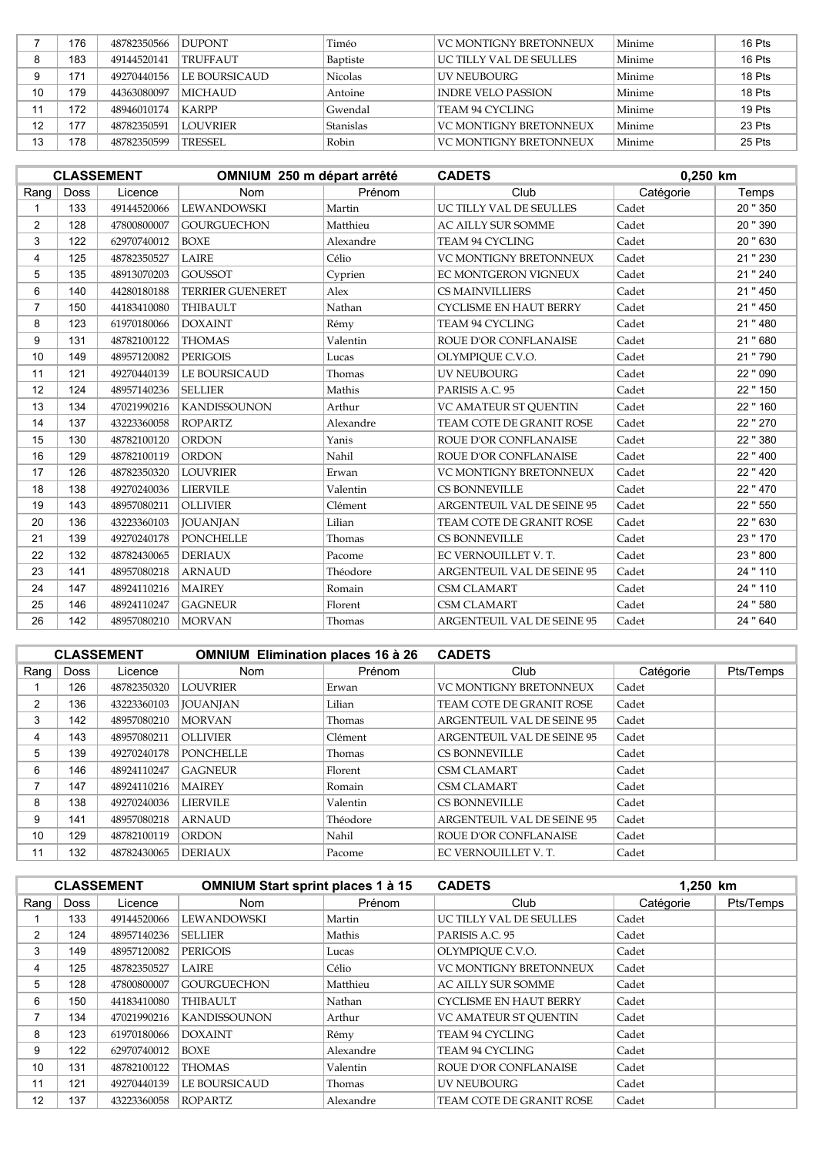|    | 176 | 48782350566 | <b>DUPONT</b>   | Timéo          | VC MONTIGNY BRETONNEUX   | Minime | 16 Pts |
|----|-----|-------------|-----------------|----------------|--------------------------|--------|--------|
|    | 183 | 49144520141 | <b>TRUFFAUT</b> | Baptiste       | IUC TILLY VAL DE SEULLES | Minime | 16 Pts |
|    | 171 | 49270440156 | LE BOURSICAUD   | <b>Nicolas</b> | LUV NEUBOURG             | Minime | 18 Pts |
| 10 | 179 | 44363080097 | <b>MICHAUD</b>  | Antoine        | INDRE VELO PASSION       | Minime | 18 Pts |
|    | 172 | 48946010174 | <b>KARPP</b>    | Gwendal        | TEAM 94 CYCLING          | Minime | 19 Pts |
| 12 | 177 | 48782350591 | <b>LOUVRIER</b> | Stanislas      | VC MONTIGNY BRETONNEUX   | Minime | 23 Pts |
| 13 | 178 | 48782350599 | <b>TRESSEL</b>  | Robin          | VC MONTIGNY BRETONNEUX   | Minime | 25 Pts |

|                |             | <b>CLASSEMENT</b> | OMNIUM 250 m départ arrêté |           | <b>CADETS</b>                     |           | 0.250 km |  |
|----------------|-------------|-------------------|----------------------------|-----------|-----------------------------------|-----------|----------|--|
| Rang           | <b>Doss</b> | Licence           | <b>Nom</b>                 | Prénom    | Club                              | Catégorie | Temps    |  |
|                | 133         | 49144520066       | <b>LEWANDOWSKI</b>         | Martin    | UC TILLY VAL DE SEULLES           | Cadet     | 20 " 350 |  |
| $\overline{2}$ | 128         | 47800800007       | <b>GOURGUECHON</b>         | Matthieu  | AC AILLY SUR SOMME                | Cadet     | 20 " 390 |  |
| 3              | 122         | 62970740012       | <b>BOXE</b>                | Alexandre | TEAM 94 CYCLING                   | Cadet     | 20 " 630 |  |
| 4              | 125         | 48782350527       | <b>LAIRE</b>               | Célio     | <b>VC MONTIGNY BRETONNEUX</b>     | Cadet     | 21 " 230 |  |
| 5              | 135         | 48913070203       | <b>GOUSSOT</b>             | Cyprien   | EC MONTGERON VIGNEUX              | Cadet     | 21 " 240 |  |
| 6              | 140         | 44280180188       | <b>TERRIER GUENERET</b>    | Alex      | CS MAINVILLIERS                   | Cadet     | 21 " 450 |  |
| $\overline{7}$ | 150         | 44183410080       | <b>THIBAULT</b>            | Nathan    | <b>CYCLISME EN HAUT BERRY</b>     | Cadet     | 21 " 450 |  |
| 8              | 123         | 61970180066       | <b>DOXAINT</b>             | Rémy      | TEAM 94 CYCLING                   | Cadet     | 21 " 480 |  |
| 9              | 131         | 48782100122       | <b>THOMAS</b>              | Valentin  | ROUE D'OR CONFLANAISE             | Cadet     | 21 " 680 |  |
| 10             | 149         | 48957120082       | <b>PERIGOIS</b>            | Lucas     | OLYMPIQUE C.V.O.                  | Cadet     | 21 "790  |  |
| 11             | 121         | 49270440139       | LE BOURSICAUD              | Thomas    | <b>UV NEUBOURG</b>                | Cadet     | 22 " 090 |  |
| 12             | 124         | 48957140236       | <b>SELLIER</b>             | Mathis    | PARISIS A.C. 95                   | Cadet     | 22 " 150 |  |
| 13             | 134         | 47021990216       | <b>KANDISSOUNON</b>        | Arthur    | VC AMATEUR ST OUENTIN             | Cadet     | 22 " 160 |  |
| 14             | 137         | 43223360058       | <b>ROPARTZ</b>             | Alexandre | TEAM COTE DE GRANIT ROSE          | Cadet     | 22 " 270 |  |
| 15             | 130         | 48782100120       | <b>ORDON</b>               | Yanis     | ROUE D'OR CONFLANAISE             | Cadet     | 22 " 380 |  |
| 16             | 129         | 48782100119       | <b>ORDON</b>               | Nahil     | ROUE D'OR CONFLANAISE             | Cadet     | 22 " 400 |  |
| 17             | 126         | 48782350320       | <b>LOUVRIER</b>            | Erwan     | <b>VC MONTIGNY BRETONNEUX</b>     | Cadet     | 22 " 420 |  |
| 18             | 138         | 49270240036       | <b>LIERVILE</b>            | Valentin  | <b>CS BONNEVILLE</b>              | Cadet     | 22 "470  |  |
| 19             | 143         | 48957080211       | <b>OLLIVIER</b>            | Clément   | <b>ARGENTEUIL VAL DE SEINE 95</b> | Cadet     | 22 " 550 |  |
| 20             | 136         | 43223360103       | <b>JOUANJAN</b>            | Lilian    | TEAM COTE DE GRANIT ROSE          | Cadet     | 22 " 630 |  |
| 21             | 139         | 49270240178       | <b>PONCHELLE</b>           | Thomas    | CS BONNEVILLE                     | Cadet     | 23 " 170 |  |
| 22             | 132         | 48782430065       | <b>DERIAUX</b>             | Pacome    | EC VERNOUILLET V.T.               | Cadet     | 23 "800  |  |
| 23             | 141         | 48957080218       | <b>ARNAUD</b>              | Théodore  | <b>ARGENTEUIL VAL DE SEINE 95</b> | Cadet     | 24 " 110 |  |
| 24             | 147         | 48924110216       | <b>MAIREY</b>              | Romain    | <b>CSM CLAMART</b>                | Cadet     | 24 " 110 |  |
| 25             | 146         | 48924110247       | <b>GAGNEUR</b>             | Florent   | <b>CSM CLAMART</b>                | Cadet     | 24 "580  |  |
| 26             | 142         | 48957080210       | <b>MORVAN</b>              | Thomas    | <b>ARGENTEUIL VAL DE SEINE 95</b> | Cadet     | 24 "640  |  |

|                |      | <b>CLASSEMENT</b> | <b>OMNIUM Elimination places 16 à 26</b> |          | <b>CADETS</b>              |           |           |
|----------------|------|-------------------|------------------------------------------|----------|----------------------------|-----------|-----------|
| $\text{Ranq}$  | Doss | Licence           | <b>Nom</b>                               | Prénom   | Club                       | Catégorie | Pts/Temps |
|                | 126  | 48782350320       | <b>LOUVRIER</b>                          | Erwan    | VC MONTIGNY BRETONNEUX     | Cadet     |           |
| $\overline{2}$ | 136  | 43223360103       | <b>JOUANJAN</b>                          | Lilian   | TEAM COTE DE GRANIT ROSE   | Cadet     |           |
| 3              | 142  | 48957080210       | <b>MORVAN</b>                            | Thomas   | ARGENTEUIL VAL DE SEINE 95 | Cadet     |           |
| 4              | 143  | 48957080211       | <b>OLLIVIER</b>                          | Clément  | ARGENTEUIL VAL DE SEINE 95 | Cadet     |           |
| 5              | 139  | 49270240178       | <b>PONCHELLE</b>                         | Thomas   | <b>CS BONNEVILLE</b>       | Cadet     |           |
| 6              | 146  | 48924110247       | <b>GAGNEUR</b>                           | Florent  | <b>CSM CLAMART</b>         | Cadet     |           |
|                | 147  | 48924110216       | <b>MAIREY</b>                            | Romain   | <b>CSM CLAMART</b>         | Cadet     |           |
| 8              | 138  | 49270240036       | <b>LIERVILE</b>                          | Valentin | <b>CS BONNEVILLE</b>       | Cadet     |           |
| 9              | 141  | 48957080218       | <b>ARNAUD</b>                            | Théodore | ARGENTEUIL VAL DE SEINE 95 | Cadet     |           |
| 10             | 129  | 48782100119       | <b>ORDON</b>                             | Nahil    | ROUE D'OR CONFLANAISE      | Cadet     |           |
| 11             | 132  | 48782430065       | <b>DERIAUX</b>                           | Pacome   | EC VERNOUILLET V.T.        | Cadet     |           |

|                |      | <b>CLASSEMENT</b> | <b>OMNIUM Start sprint places 1 à 15</b> |           | 1,250 km<br><b>CADETS</b>     |           |           |
|----------------|------|-------------------|------------------------------------------|-----------|-------------------------------|-----------|-----------|
| Rang           | Doss | Licence           | <b>Nom</b>                               | Prénom    | Club                          | Catégorie | Pts/Temps |
|                | 133  | 49144520066       | <b>LEWANDOWSKI</b>                       | Martin    | UC TILLY VAL DE SEULLES       | Cadet     |           |
| $\overline{2}$ | 124  | 48957140236       | <b>SELLIER</b>                           | Mathis    | PARISIS A.C. 95               | Cadet     |           |
| 3              | 149  | 48957120082       | <b>PERIGOIS</b>                          | Lucas     | OLYMPIOUE C.V.O.              | Cadet     |           |
| 4              | 125  | 48782350527       | <b>LAIRE</b>                             | Célio     | VC MONTIGNY BRETONNEUX        | Cadet     |           |
| 5              | 128  | 47800800007       | <b>GOURGUECHON</b>                       | Matthieu  | <b>AC AILLY SUR SOMME</b>     | Cadet     |           |
| 6              | 150  | 44183410080       | <b>THIBAULT</b>                          | Nathan    | <b>CYCLISME EN HAUT BERRY</b> | Cadet     |           |
| 7              | 134  | 47021990216       | <b>KANDISSOUNON</b>                      | Arthur    | <b>VC AMATEUR ST OUENTIN</b>  | Cadet     |           |
| 8              | 123  | 61970180066       | <b>DOXAINT</b>                           | Rémy      | TEAM 94 CYCLING               | Cadet     |           |
| 9              | 122  | 62970740012       | BOXE                                     | Alexandre | TEAM 94 CYCLING               | Cadet     |           |
| 10             | 131  | 48782100122       | <b>THOMAS</b>                            | Valentin  | ROUE D'OR CONFLANAISE         | Cadet     |           |
| 11             | 121  | 49270440139       | LE BOURSICAUD                            | Thomas    | UV NEUBOURG                   | Cadet     |           |
| 12             | 137  | 43223360058       | <b>ROPARTZ</b>                           | Alexandre | TEAM COTE DE GRANIT ROSE      | Cadet     |           |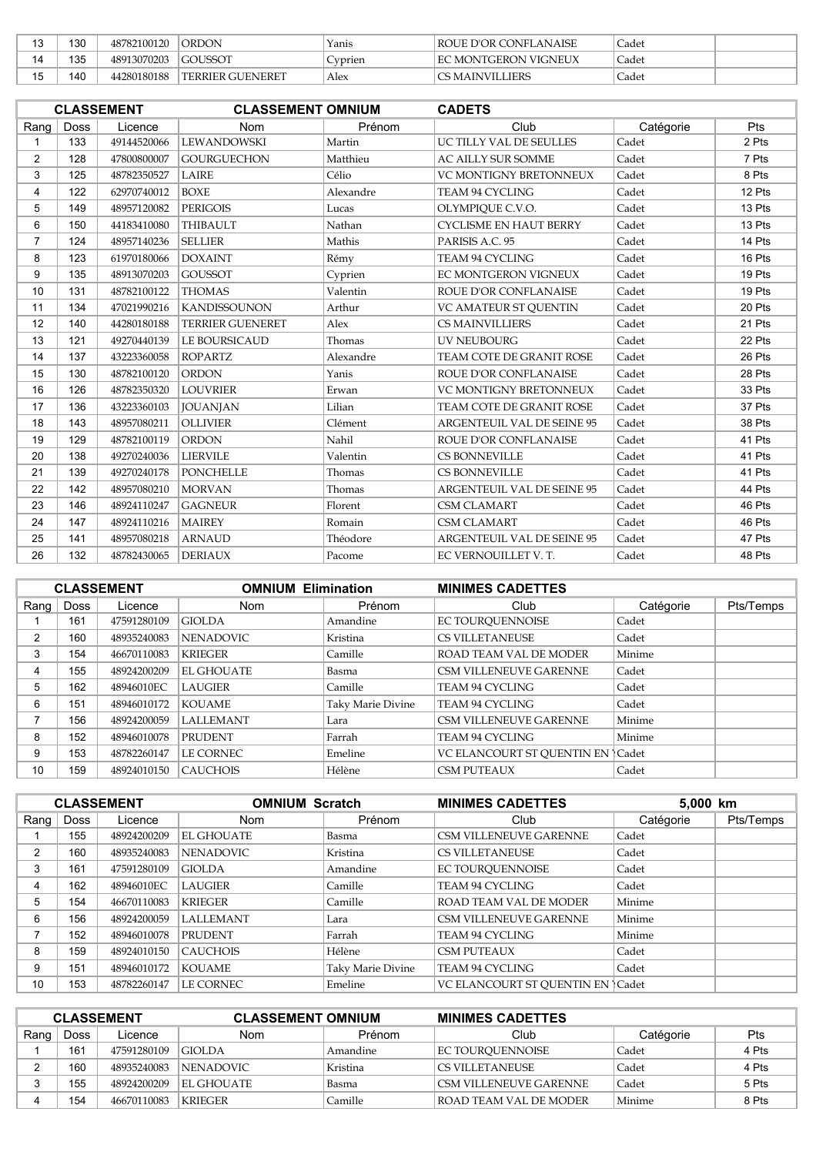| າ<br>w   | 130 | 48782100120 | <b>ORDON</b>            | Yanis          | <b>ROUE D'OR CONFLANAISE</b> | Cadet              |  |
|----------|-----|-------------|-------------------------|----------------|------------------------------|--------------------|--|
|          | 135 | 48913070203 | <b>GOUSSOT</b>          | $\mathsf{ypr}$ | <b>IEC MONTGERON VIGNEUX</b> | Cadet <sup>®</sup> |  |
| . .<br>◡ | 140 | 44280180188 | <b>TERRIER GUENERET</b> | Alex           | <b>CS MAINVILLIERS</b>       | Cadet              |  |

|                | <b>CLASSEMENT</b><br><b>CLASSEMENT OMNIUM</b><br><b>CADETS</b> |             |                         |           |                                   |           |        |
|----------------|----------------------------------------------------------------|-------------|-------------------------|-----------|-----------------------------------|-----------|--------|
| Rang           | <b>Doss</b>                                                    | Licence     | <b>Nom</b>              | Prénom    | Club                              | Catégorie | Pts    |
|                | 133                                                            | 49144520066 | <b>LEWANDOWSKI</b>      | Martin    | UC TILLY VAL DE SEULLES           | Cadet     | 2 Pts  |
| $\overline{2}$ | 128                                                            | 47800800007 | <b>GOURGUECHON</b>      | Matthieu  | AC AILLY SUR SOMME                | Cadet     | 7 Pts  |
| 3              | 125                                                            | 48782350527 | <b>LAIRE</b>            | Célio     | <b>VC MONTIGNY BRETONNEUX</b>     | Cadet     | 8 Pts  |
| 4              | 122                                                            | 62970740012 | <b>BOXE</b>             | Alexandre | TEAM 94 CYCLING                   | Cadet     | 12 Pts |
| 5              | 149                                                            | 48957120082 | <b>PERIGOIS</b>         | Lucas     | OLYMPIQUE C.V.O.                  | Cadet     | 13 Pts |
| 6              | 150                                                            | 44183410080 | <b>THIBAULT</b>         | Nathan    | <b>CYCLISME EN HAUT BERRY</b>     | Cadet     | 13 Pts |
| $\overline{7}$ | 124                                                            | 48957140236 | <b>SELLIER</b>          | Mathis    | PARISIS A.C. 95                   | Cadet     | 14 Pts |
| 8              | 123                                                            | 61970180066 | <b>DOXAINT</b>          | Rémy      | TEAM 94 CYCLING                   | Cadet     | 16 Pts |
| 9              | 135                                                            | 48913070203 | <b>GOUSSOT</b>          | Cyprien   | EC MONTGERON VIGNEUX              | Cadet     | 19 Pts |
| 10             | 131                                                            | 48782100122 | <b>THOMAS</b>           | Valentin  | ROUE D'OR CONFLANAISE             | Cadet     | 19 Pts |
| 11             | 134                                                            | 47021990216 | <b>KANDISSOUNON</b>     | Arthur    | VC AMATEUR ST QUENTIN             | Cadet     | 20 Pts |
| 12             | 140                                                            | 44280180188 | <b>TERRIER GUENERET</b> | Alex      | <b>CS MAINVILLIERS</b>            | Cadet     | 21 Pts |
| 13             | 121                                                            | 49270440139 | LE BOURSICAUD           | Thomas    | <b>UV NEUBOURG</b>                | Cadet     | 22 Pts |
| 14             | 137                                                            | 43223360058 | <b>ROPARTZ</b>          | Alexandre | TEAM COTE DE GRANIT ROSE          | Cadet     | 26 Pts |
| 15             | 130                                                            | 48782100120 | <b>ORDON</b>            | Yanis     | ROUE D'OR CONFLANAISE             | Cadet     | 28 Pts |
| 16             | 126                                                            | 48782350320 | <b>LOUVRIER</b>         | Erwan     | VC MONTIGNY BRETONNEUX            | Cadet     | 33 Pts |
| 17             | 136                                                            | 43223360103 | <b>JOUANJAN</b>         | Lilian    | TEAM COTE DE GRANIT ROSE          | Cadet     | 37 Pts |
| 18             | 143                                                            | 48957080211 | <b>OLLIVIER</b>         | Clément   | ARGENTEUIL VAL DE SEINE 95        | Cadet     | 38 Pts |
| 19             | 129                                                            | 48782100119 | <b>ORDON</b>            | Nahil     | ROUE D'OR CONFLANAISE             | Cadet     | 41 Pts |
| 20             | 138                                                            | 49270240036 | <b>LIERVILE</b>         | Valentin  | <b>CS BONNEVILLE</b>              | Cadet     | 41 Pts |
| 21             | 139                                                            | 49270240178 | <b>PONCHELLE</b>        | Thomas    | <b>CS BONNEVILLE</b>              | Cadet     | 41 Pts |
| 22             | 142                                                            | 48957080210 | <b>MORVAN</b>           | Thomas    | <b>ARGENTEUIL VAL DE SEINE 95</b> | Cadet     | 44 Pts |
| 23             | 146                                                            | 48924110247 | <b>GAGNEUR</b>          | Florent   | <b>CSM CLAMART</b>                | Cadet     | 46 Pts |
| 24             | 147                                                            | 48924110216 | <b>MAIREY</b>           | Romain    | <b>CSM CLAMART</b>                | Cadet     | 46 Pts |
| 25             | 141                                                            | 48957080218 | <b>ARNAUD</b>           | Théodore  | ARGENTEUIL VAL DE SEINE 95        | Cadet     | 47 Pts |
| 26             | 132                                                            | 48782430065 | <b>DERIAUX</b>          | Pacome    | EC VERNOUILLET V.T.               | Cadet     | 48 Pts |

|          |             | <b>CLASSEMENT</b> | <b>OMNIUM Elimination</b> |                   | <b>MINIMES CADETTES</b>          |           |           |
|----------|-------------|-------------------|---------------------------|-------------------|----------------------------------|-----------|-----------|
| Rang $ $ | <b>Doss</b> | Licence           | Nom                       | Prénom            | Club                             | Catégorie | Pts/Temps |
|          | 161         | 47591280109       | <b>GIOLDA</b>             | Amandine          | EC TOUROUENNOISE                 | Cadet     |           |
| 2        | 160         | 48935240083       | <b>NENADOVIC</b>          | Kristina          | <b>CS VILLETANEUSE</b>           | Cadet     |           |
| 3        | 154         | 46670110083       | <b>KRIEGER</b>            | Camille           | ROAD TEAM VAL DE MODER           | Minime    |           |
| 4        | 155         | 48924200209       | <b>EL GHOUATE</b>         | Basma             | <b>CSM VILLENEUVE GARENNE</b>    | Cadet     |           |
| 5        | 162         | 48946010EC        | <b>LAUGIER</b>            | Camille           | TEAM 94 CYCLING                  | Cadet     |           |
| 6        | 151         | 48946010172       | <b>KOUAME</b>             | Taky Marie Divine | TEAM 94 CYCLING                  | Cadet     |           |
|          | 156         | 48924200059       | <b>LALLEMANT</b>          | Lara              | <b>CSM VILLENEUVE GARENNE</b>    | Minime    |           |
| 8        | 152         | 48946010078       | <b>PRUDENT</b>            | Farrah            | TEAM 94 CYCLING                  | Minime    |           |
| 9        | 153         | 48782260147       | LE CORNEC                 | Emeline           | VC ELANCOURT ST OUENTIN EN Cadet |           |           |
| 10       | 159         | 48924010150       | <b>CAUCHOIS</b>           | Hélène            | <b>CSM PUTEAUX</b>               | Cadet     |           |
|          |             |                   |                           |                   |                                  |           |           |

|          |      | <b>CLASSEMENT</b> |                   | <b>OMNIUM Scratch</b><br><b>MINIMES CADETTES</b> |                                    | 5,000 km  |           |
|----------|------|-------------------|-------------------|--------------------------------------------------|------------------------------------|-----------|-----------|
| Rang $ $ | Doss | Licence           | Nom               | Prénom                                           | Club                               | Catégorie | Pts/Temps |
|          | 155  | 48924200209       | <b>EL GHOUATE</b> | Basma                                            | <b>CSM VILLENEUVE GARENNE</b>      | Cadet     |           |
| 2        | 160  | 48935240083       | <b>NENADOVIC</b>  | Kristina                                         | <b>CS VILLETANEUSE</b>             | Cadet     |           |
| 3        | 161  | 47591280109       | <b>GIOLDA</b>     | Amandine                                         | EC TOUROUENNOISE                   | Cadet     |           |
| 4        | 162  | 48946010EC        | <b>LAUGIER</b>    | Camille                                          | TEAM 94 CYCLING                    | Cadet     |           |
| 5        | 154  | 46670110083       | <b>KRIEGER</b>    | Camille                                          | ROAD TEAM VAL DE MODER             | Minime    |           |
| 6        | 156  | 48924200059       | <b>LALLEMANT</b>  | Lara                                             | <b>CSM VILLENEUVE GARENNE</b>      | Minime    |           |
|          | 152  | 48946010078       | <b>PRUDENT</b>    | Farrah                                           | TEAM 94 CYCLING                    | Minime    |           |
| 8        | 159  | 48924010150       | <b>CAUCHOIS</b>   | Hélène                                           | <b>CSM PUTEAUX</b>                 | Cadet     |           |
| 9        | 151  | 48946010172       | <b>KOUAME</b>     | Taky Marie Divine                                | <b>TEAM 94 CYCLING</b>             | Cadet     |           |
| 10       | 153  | 48782260147       | LE CORNEC         | Emeline                                          | VC ELANCOURT ST OUENTIN EN   Cadet |           |           |

| <b>CLASSEMENT</b> |      |             | <b>CLASSEMENT OMNIUM</b> |          | <b>MINIMES CADETTES</b> |           |       |
|-------------------|------|-------------|--------------------------|----------|-------------------------|-----------|-------|
| Rang              | Doss | Licence     | <b>Nom</b>               | Prénom   | Club                    | Catégorie | Pts   |
|                   | 161  | 47591280109 | GIOLDA                   | Amandine | EC TOUROUENNOISE        | Cadet     | 4 Pts |
|                   | 160  | 48935240083 | NENADOVIC                | Kristina | CS VILLETANEUSE         | Cadet     | 4 Pts |
|                   | 155  | 48924200209 | EL GHOUATE               | Basma    | CSM VILLENEUVE GARENNE  | Cadet     | 5 Pts |
|                   | 154  | 46670110083 | <b>KRIEGER</b>           | Camille  | ROAD TEAM VAL DE MODER  | Minime    | 8 Pts |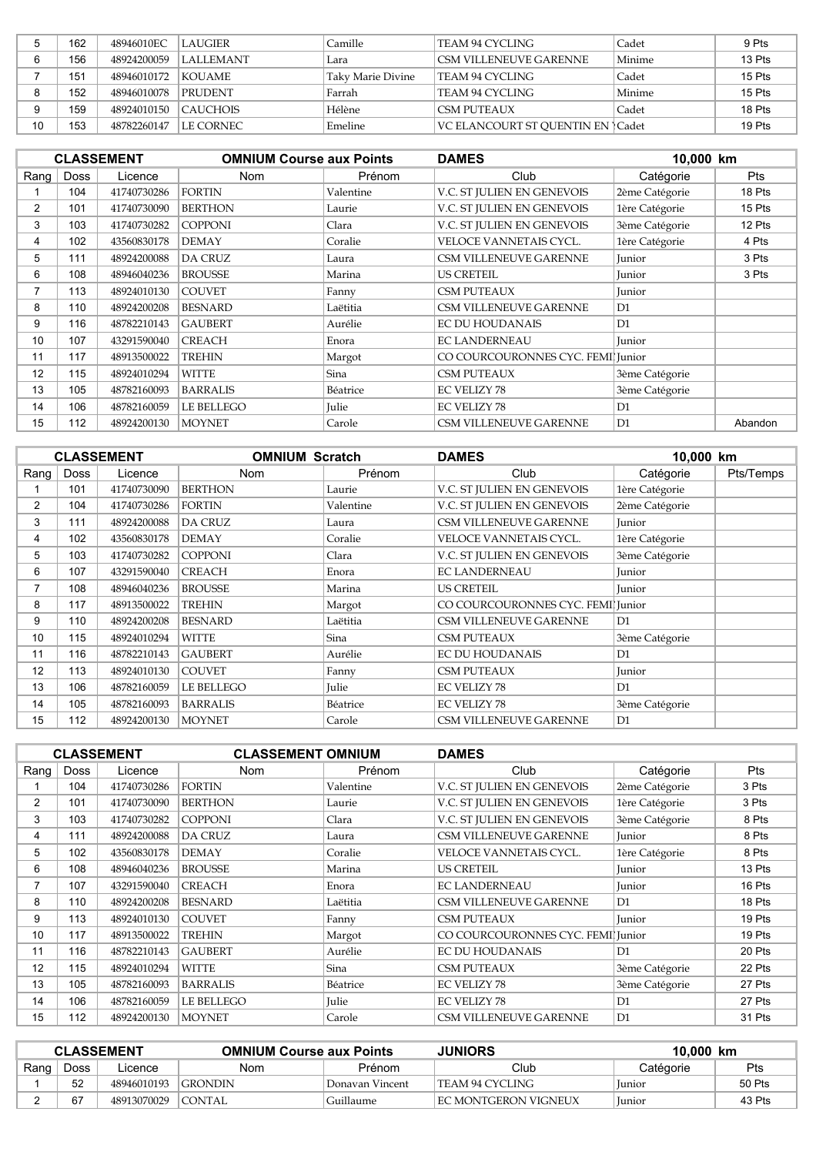|    | 162 | 48946010EC  | <b>LAUGIER</b> | Camille           | TEAM 94 CYCLING                    | Cadet  | 9 Pts  |
|----|-----|-------------|----------------|-------------------|------------------------------------|--------|--------|
|    | 156 | 48924200059 | I LALLEMANT    | Lara              | CSM VILLENEUVE GARENNE             | Minime | 13 Pts |
|    | 151 | 48946010172 | KOUAME         | Taky Marie Divine | TEAM 94 CYCLING                    | Cadet  | 15 Pts |
|    | 152 | 48946010078 | PRUDENT        | Farrah            | TEAM 94 CYCLING                    | Minime | 15 Pts |
|    | 159 | 48924010150 | CAUCHOIS       | Hélène            | CSM PUTEAUX                        | Cadet  | 18 Pts |
| 10 | 153 | 48782260147 | LE CORNEC.     | Emeline           | VC ELANCOURT ST OUENTIN EN l Cadet |        | 19 Pts |

|                |             | <b>CLASSEMENT</b> | <b>OMNIUM Course aux Points</b> |           | <b>DAMES</b>                      | 10,000 km      |            |
|----------------|-------------|-------------------|---------------------------------|-----------|-----------------------------------|----------------|------------|
| Rang           | <b>Doss</b> | Licence           | Nom                             | Prénom    | Club                              | Catégorie      | <b>Pts</b> |
|                | 104         | 41740730286       | <b>FORTIN</b>                   | Valentine | V.C. ST JULIEN EN GENEVOIS        | 2ème Catégorie | 18 Pts     |
| 2              | 101         | 41740730090       | <b>BERTHON</b>                  | Laurie    | V.C. ST JULIEN EN GENEVOIS        | 1ère Catégorie | 15 Pts     |
| 3              | 103         | 41740730282       | <b>COPPONI</b>                  | Clara     | V.C. ST JULIEN EN GENEVOIS        | 3ème Catégorie | 12 Pts     |
| 4              | 102         | 43560830178       | <b>DEMAY</b>                    | Coralie   | VELOCE VANNETAIS CYCL.            | 1ère Catégorie | 4 Pts      |
| 5              | 111         | 48924200088       | <b>DA CRUZ</b>                  | Laura     | CSM VILLENEUVE GARENNE            | Junior         | 3 Pts      |
| 6              | 108         | 48946040236       | <b>BROUSSE</b>                  | Marina    | <b>US CRETEIL</b>                 | Junior         | 3 Pts      |
| $\overline{ }$ | 113         | 48924010130       | <b>COUVET</b>                   | Fanny     | <b>CSM PUTEAUX</b>                | Junior         |            |
| 8              | 110         | 48924200208       | <b>BESNARD</b>                  | Laëtitia  | CSM VILLENEUVE GARENNE            | D1             |            |
| 9              | 116         | 48782210143       | <b>GAUBERT</b>                  | Aurélie   | <b>EC DU HOUDANAIS</b>            | D1             |            |
| 10             | 107         | 43291590040       | <b>CREACH</b>                   | Enora     | <b>EC LANDERNEAU</b>              | Junior         |            |
| 11             | 117         | 48913500022       | <b>TREHIN</b>                   | Margot    | CO COURCOURONNES CYC. FEMI Junior |                |            |
| 12             | 115         | 48924010294       | <b>WITTE</b>                    | Sina      | <b>CSM PUTEAUX</b>                | 3ème Catégorie |            |
| 13             | 105         | 48782160093       | <b>BARRALIS</b>                 | Béatrice  | <b>EC VELIZY 78</b>               | 3ème Catégorie |            |
| 14             | 106         | 48782160059       | LE BELLEGO                      | Julie     | <b>EC VELIZY 78</b>               | D1             |            |
| 15             | 112         | 48924200130       | <b>MOYNET</b>                   | Carole    | <b>CSM VILLENEUVE GARENNE</b>     | D1             | Abandon    |

|                |             | <b>CLASSEMENT</b> | <b>OMNIUM Scratch</b> |           | <b>DAMES</b>                      | 10,000 km      |           |
|----------------|-------------|-------------------|-----------------------|-----------|-----------------------------------|----------------|-----------|
| Rang           | <b>Doss</b> | Licence           | Nom                   | Prénom    | Club                              | Catégorie      | Pts/Temps |
|                | 101         | 41740730090       | <b>BERTHON</b>        | Laurie    | V.C. ST JULIEN EN GENEVOIS        | 1ère Catégorie |           |
| $\overline{2}$ | 104         | 41740730286       | <b>FORTIN</b>         | Valentine | V.C. ST JULIEN EN GENEVOIS        | 2ème Catégorie |           |
| 3              | 111         | 48924200088       | <b>DA CRUZ</b>        | Laura     | CSM VILLENEUVE GARENNE            | <b>Iunior</b>  |           |
| 4              | 102         | 43560830178       | <b>DEMAY</b>          | Coralie   | VELOCE VANNETAIS CYCL.            | 1ère Catégorie |           |
| 5              | 103         | 41740730282       | <b>COPPONI</b>        | Clara     | V.C. ST JULIEN EN GENEVOIS        | 3ème Catégorie |           |
| 6              | 107         | 43291590040       | <b>CREACH</b>         | Enora     | <b>EC LANDERNEAU</b>              | Junior         |           |
| 7              | 108         | 48946040236       | <b>BROUSSE</b>        | Marina    | <b>US CRETEIL</b>                 | Junior         |           |
| 8              | 117         | 48913500022       | <b>TREHIN</b>         | Margot    | CO COURCOURONNES CYC. FEMI Junior |                |           |
| 9              | 110         | 48924200208       | <b>BESNARD</b>        | Laëtitia  | CSM VILLENEUVE GARENNE            | D1             |           |
| 10             | 115         | 48924010294       | <b>WITTE</b>          | Sina      | <b>CSM PUTEAUX</b>                | 3ème Catégorie |           |
| 11             | 116         | 48782210143       | <b>GAUBERT</b>        | Aurélie   | <b>EC DU HOUDANAIS</b>            | D <sub>1</sub> |           |
| 12             | 113         | 48924010130       | <b>COUVET</b>         | Fanny     | <b>CSM PUTEAUX</b>                | Junior         |           |
| 13             | 106         | 48782160059       | LE BELLEGO            | Julie     | <b>EC VELIZY 78</b>               | D <sub>1</sub> |           |
| 14             | 105         | 48782160093       | <b>BARRALIS</b>       | Béatrice  | <b>EC VELIZY 78</b>               | 3ème Catégorie |           |
| 15             | 112         | 48924200130       | <b>MOYNET</b>         | Carole    | <b>CSM VILLENEUVE GARENNE</b>     | D <sub>1</sub> |           |

|                |             | <b>CLASSEMENT</b> | <b>CLASSEMENT OMNIUM</b> |           | <b>DAMES</b>                      |                |            |
|----------------|-------------|-------------------|--------------------------|-----------|-----------------------------------|----------------|------------|
| Rang           | <b>Doss</b> | Licence           | <b>Nom</b>               | Prénom    | Club                              | Catégorie      | <b>Pts</b> |
|                | 104         | 41740730286       | <b>FORTIN</b>            | Valentine | V.C. ST JULIEN EN GENEVOIS        | 2ème Catégorie | 3 Pts      |
| $\overline{2}$ | 101         | 41740730090       | <b>BERTHON</b>           | Laurie    | V.C. ST JULIEN EN GENEVOIS        | 1ère Catégorie | 3 Pts      |
| 3              | 103         | 41740730282       | <b>COPPONI</b>           | Clara     | V.C. ST JULIEN EN GENEVOIS        | 3ème Catégorie | 8 Pts      |
| 4              | 111         | 48924200088       | <b>DA CRUZ</b>           | Laura     | CSM VILLENEUVE GARENNE            | Junior         | 8 Pts      |
| 5              | 102         | 43560830178       | <b>DEMAY</b>             | Coralie   | VELOCE VANNETAIS CYCL.            | 1ère Catégorie | 8 Pts      |
| 6              | 108         | 48946040236       | <b>BROUSSE</b>           | Marina    | <b>US CRETEIL</b>                 | <b>Iunior</b>  | 13 Pts     |
|                | 107         | 43291590040       | <b>CREACH</b>            | Enora     | <b>EC LANDERNEAU</b>              | Junior         | 16 Pts     |
| 8              | 110         | 48924200208       | <b>BESNARD</b>           | Laëtitia  | CSM VILLENEUVE GARENNE            | D <sub>1</sub> | 18 Pts     |
| 9              | 113         | 48924010130       | <b>COUVET</b>            | Fanny     | <b>CSM PUTEAUX</b>                | Junior         | 19 Pts     |
| 10             | 117         | 48913500022       | <b>TREHIN</b>            | Margot    | CO COURCOURONNES CYC. FEMI Junior |                | 19 Pts     |
| 11             | 116         | 48782210143       | <b>GAUBERT</b>           | Aurélie   | <b>EC DU HOUDANAIS</b>            | D1             | 20 Pts     |
| 12             | 115         | 48924010294       | <b>WITTE</b>             | Sina      | <b>CSM PUTEAUX</b>                | 3ème Catégorie | 22 Pts     |
| 13             | 105         | 48782160093       | <b>BARRALIS</b>          | Béatrice  | <b>EC VELIZY 78</b>               | 3ème Catégorie | 27 Pts     |
| 14             | 106         | 48782160059       | <b>LE BELLEGO</b>        | Julie     | <b>EC VELIZY 78</b>               | D1             | 27 Pts     |
| 15             | 112         | 48924200130       | <b>MOYNET</b>            | Carole    | CSM VILLENEUVE GARENNE            | D1             | 31 Pts     |

| <b>CLASSEMENT</b> |             |             | <b>OMNIUM Course aux Points</b> |                 | <b>JUNIORS</b><br>10.000 km |               |        |
|-------------------|-------------|-------------|---------------------------------|-----------------|-----------------------------|---------------|--------|
| Rang              | <b>Doss</b> | Licence     | Nom                             | Prénom          | Club                        | Catégorie     | Pts    |
|                   | 52          | 48946010193 | <b>GRONDIN</b>                  | Donavan Vincent | TEAM 94 CYCLING             | <i>lunior</i> | 50 Pts |
|                   | 67          | 48913070029 | CONTAL                          | Guillaume       | EC MONTGERON VIGNEUX        | <i>unior</i>  | 43 Pts |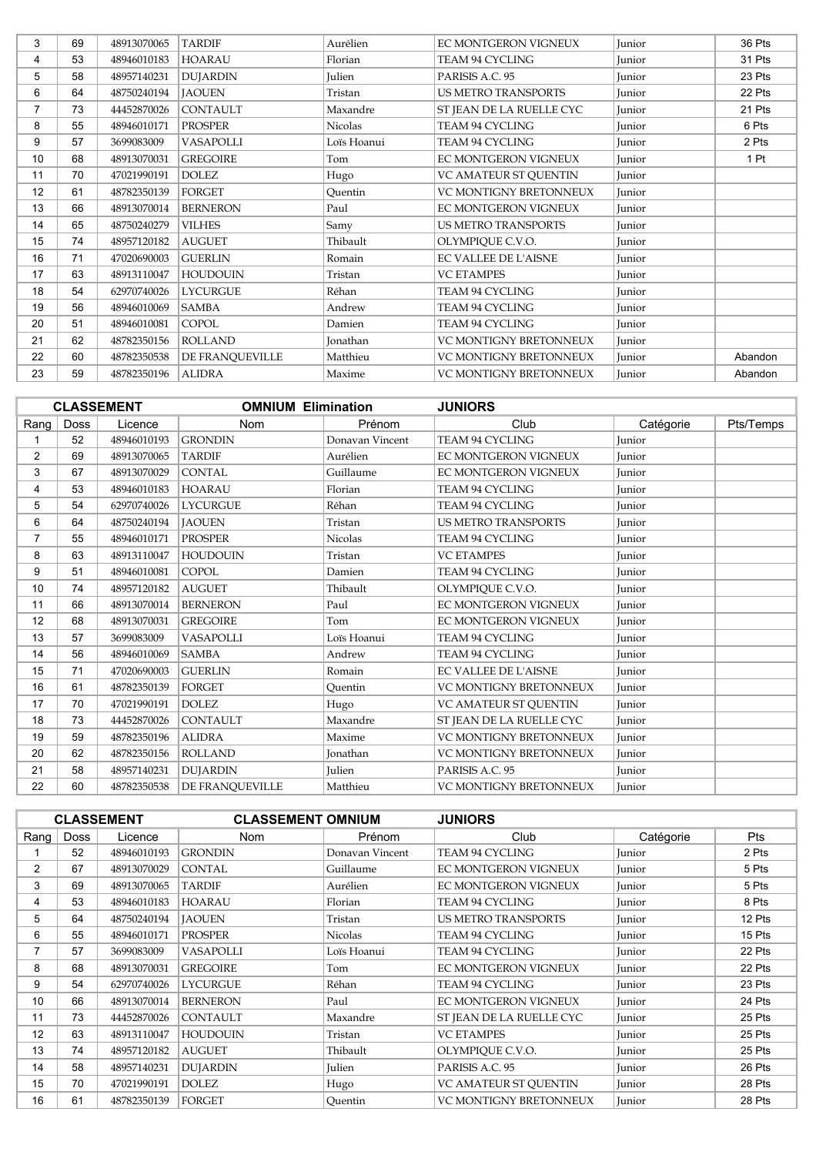| 3              | 69 | 48913070065 | <b>TARDIF</b>   | Aurélien        | EC MONTGERON VIGNEUX          | Junior | 36 Pts  |
|----------------|----|-------------|-----------------|-----------------|-------------------------------|--------|---------|
| 4              | 53 | 48946010183 | <b>HOARAU</b>   | Florian         | TEAM 94 CYCLING               | Junior | 31 Pts  |
| 5              | 58 | 48957140231 | <b>DUJARDIN</b> | Julien          | PARISIS A.C. 95               | Junior | 23 Pts  |
| 6              | 64 | 48750240194 | <b>JAOUEN</b>   | Tristan         | <b>US METRO TRANSPORTS</b>    | Junior | 22 Pts  |
| $\overline{7}$ | 73 | 44452870026 | <b>CONTAULT</b> | Maxandre        | ST JEAN DE LA RUELLE CYC      | Junior | 21 Pts  |
| 8              | 55 | 48946010171 | <b>PROSPER</b>  | <b>Nicolas</b>  | TEAM 94 CYCLING               | Junior | 6 Pts   |
| 9              | 57 | 3699083009  | VASAPOLLI       | Loïs Hoanui     | TEAM 94 CYCLING               | Junior | 2 Pts   |
| 10             | 68 | 48913070031 | <b>GREGOIRE</b> | Tom             | EC MONTGERON VIGNEUX          | Junior | 1 Pt    |
| 11             | 70 | 47021990191 | <b>DOLEZ</b>    | Hugo            | VC AMATEUR ST QUENTIN         | Junior |         |
| 12             | 61 | 48782350139 | <b>FORGET</b>   | Ouentin         | <b>VC MONTIGNY BRETONNEUX</b> | Junior |         |
| 13             | 66 | 48913070014 | <b>BERNERON</b> | Paul            | EC MONTGERON VIGNEUX          | Junior |         |
| 14             | 65 | 48750240279 | <b>VILHES</b>   | Samy            | <b>US METRO TRANSPORTS</b>    | Junior |         |
| 15             | 74 | 48957120182 | <b>AUGUET</b>   | Thibault        | OLYMPIOUE C.V.O.              | Junior |         |
| 16             | 71 | 47020690003 | <b>GUERLIN</b>  | Romain          | <b>EC VALLEE DE L'AISNE</b>   | Junior |         |
| 17             | 63 | 48913110047 | <b>HOUDOUIN</b> | Tristan         | <b>VC ETAMPES</b>             | Junior |         |
| 18             | 54 | 62970740026 | <b>LYCURGUE</b> | Réhan           | <b>TEAM 94 CYCLING</b>        | Junior |         |
| 19             | 56 | 48946010069 | <b>SAMBA</b>    | Andrew          | TEAM 94 CYCLING               | Junior |         |
| 20             | 51 | 48946010081 | <b>COPOL</b>    | Damien          | TEAM 94 CYCLING               | Junior |         |
| 21             | 62 | 48782350156 | <b>ROLLAND</b>  | <b>Jonathan</b> | <b>VC MONTIGNY BRETONNEUX</b> | Junior |         |
| 22             | 60 | 48782350538 | DE FRANQUEVILLE | Matthieu        | VC MONTIGNY BRETONNEUX        | Junior | Abandon |
| 23             | 59 | 48782350196 | <b>ALIDRA</b>   | Maxime          | VC MONTIGNY BRETONNEUX        | Junior | Abandon |

|                 |      | <b>CLASSEMENT</b> | <b>OMNIUM Elimination</b> |                 | <b>JUNIORS</b>                |           |           |
|-----------------|------|-------------------|---------------------------|-----------------|-------------------------------|-----------|-----------|
| Rang            | Doss | Licence           | <b>Nom</b>                | Prénom          | Club                          | Catégorie | Pts/Temps |
|                 | 52   | 48946010193       | <b>GRONDIN</b>            | Donavan Vincent | <b>TEAM 94 CYCLING</b>        | Junior    |           |
| $\overline{2}$  | 69   | 48913070065       | <b>TARDIF</b>             | Aurélien        | EC MONTGERON VIGNEUX          | Junior    |           |
| 3               | 67   | 48913070029       | <b>CONTAL</b>             | Guillaume       | EC MONTGERON VIGNEUX          | Junior    |           |
| 4               | 53   | 48946010183       | <b>HOARAU</b>             | Florian         | TEAM 94 CYCLING               | Junior    |           |
| 5               | 54   | 62970740026       | <b>LYCURGUE</b>           | Réhan           | TEAM 94 CYCLING               | Junior    |           |
| 6               | 64   | 48750240194       | <b>JAOUEN</b>             | Tristan         | <b>US METRO TRANSPORTS</b>    | Junior    |           |
| $\overline{7}$  | 55   | 48946010171       | <b>PROSPER</b>            | <b>Nicolas</b>  | <b>TEAM 94 CYCLING</b>        | Junior    |           |
| 8               | 63   | 48913110047       | <b>HOUDOUIN</b>           | Tristan         | <b>VC ETAMPES</b>             | Junior    |           |
| 9               | 51   | 48946010081       | <b>COPOL</b>              | Damien          | TEAM 94 CYCLING               | Junior    |           |
| 10              | 74   | 48957120182       | <b>AUGUET</b>             | Thibault        | OLYMPIQUE C.V.O.              | Junior    |           |
| 11              | 66   | 48913070014       | <b>BERNERON</b>           | Paul            | EC MONTGERON VIGNEUX          | Junior    |           |
| 12 <sup>2</sup> | 68   | 48913070031       | <b>GREGOIRE</b>           | Tom             | EC MONTGERON VIGNEUX          | Junior    |           |
| 13              | 57   | 3699083009        | <b>VASAPOLLI</b>          | Lois Hoanui     | <b>TEAM 94 CYCLING</b>        | Junior    |           |
| 14              | 56   | 48946010069       | <b>SAMBA</b>              | Andrew          | <b>TEAM 94 CYCLING</b>        | Junior    |           |
| 15              | 71   | 47020690003       | <b>GUERLIN</b>            | Romain          | <b>EC VALLEE DE L'AISNE</b>   | Junior    |           |
| 16              | 61   | 48782350139       | <b>FORGET</b>             | Ouentin         | <b>VC MONTIGNY BRETONNEUX</b> | Junior    |           |
| 17              | 70   | 47021990191       | <b>DOLEZ</b>              | Hugo            | <b>VC AMATEUR ST OUENTIN</b>  | Junior    |           |
| 18              | 73   | 44452870026       | <b>CONTAULT</b>           | Maxandre        | ST JEAN DE LA RUELLE CYC      | Junior    |           |
| 19              | 59   | 48782350196       | <b>ALIDRA</b>             | Maxime          | <b>VC MONTIGNY BRETONNEUX</b> | Junior    |           |
| 20              | 62   | 48782350156       | <b>ROLLAND</b>            | <b>Jonathan</b> | <b>VC MONTIGNY BRETONNEUX</b> | Junior    |           |
| 21              | 58   | 48957140231       | <b>DUJARDIN</b>           | Julien          | PARISIS A.C. 95               | Junior    |           |
| 22              | 60   | 48782350538       | <b>DE FRANOUEVILLE</b>    | Matthieu        | <b>VC MONTIGNY BRETONNEUX</b> | Junior    |           |

|                |             | <b>CLASSEMENT</b> | <b>CLASSEMENT OMNIUM</b> |                 | <b>JUNIORS</b>             |           |            |
|----------------|-------------|-------------------|--------------------------|-----------------|----------------------------|-----------|------------|
| Rang           | <b>Doss</b> | Licence           | Nom                      | Prénom          | Club                       | Catégorie | <b>Pts</b> |
|                | 52          | 48946010193       | <b>GRONDIN</b>           | Donavan Vincent | TEAM 94 CYCLING            | Junior    | 2 Pts      |
| $\overline{2}$ | 67          | 48913070029       | <b>CONTAL</b>            | Guillaume       | EC MONTGERON VIGNEUX       | Junior    | 5 Pts      |
| 3              | 69          | 48913070065       | TARDIF                   | Aurélien        | EC MONTGERON VIGNEUX       | Junior    | 5 Pts      |
| 4              | 53          | 48946010183       | <b>HOARAU</b>            | Florian         | TEAM 94 CYCLING            | Junior    | 8 Pts      |
| 5              | 64          | 48750240194       | <b>IAOUEN</b>            | Tristan         | <b>US METRO TRANSPORTS</b> | Junior    | 12 Pts     |
| 6              | 55          | 48946010171       | <b>PROSPER</b>           | <b>Nicolas</b>  | TEAM 94 CYCLING            | Junior    | 15 Pts     |
| 7              | 57          | 3699083009        | <b>VASAPOLLI</b>         | Lois Hoanui     | TEAM 94 CYCLING            | Junior    | 22 Pts     |
| 8              | 68          | 48913070031       | <b>GREGOIRE</b>          | Tom             | EC MONTGERON VIGNEUX       | Junior    | 22 Pts     |
| 9              | 54          | 62970740026       | <b>LYCURGUE</b>          | Réhan           | TEAM 94 CYCLING            | Junior    | 23 Pts     |
| 10             | 66          | 48913070014       | <b>BERNERON</b>          | Paul            | EC MONTGERON VIGNEUX       | Junior    | 24 Pts     |
| 11             | 73          | 44452870026       | <b>CONTAULT</b>          | Maxandre        | ST JEAN DE LA RUELLE CYC   | Junior    | 25 Pts     |
| 12             | 63          | 48913110047       | <b>HOUDOUIN</b>          | Tristan         | <b>VC ETAMPES</b>          | Junior    | 25 Pts     |
| 13             | 74          | 48957120182       | <b>AUGUET</b>            | Thibault        | OLYMPIOUE C.V.O.           | Junior    | 25 Pts     |
| 14             | 58          | 48957140231       | <b>DUJARDIN</b>          | Julien          | PARISIS A.C. 95            | Junior    | 26 Pts     |
| 15             | 70          | 47021990191       | <b>DOLEZ</b>             | Hugo            | VC AMATEUR ST OUENTIN      | Junior    | 28 Pts     |
| 16             | 61          | 48782350139       | <b>FORGET</b>            | Ouentin         | VC MONTIGNY BRETONNEUX     | Junior    | 28 Pts     |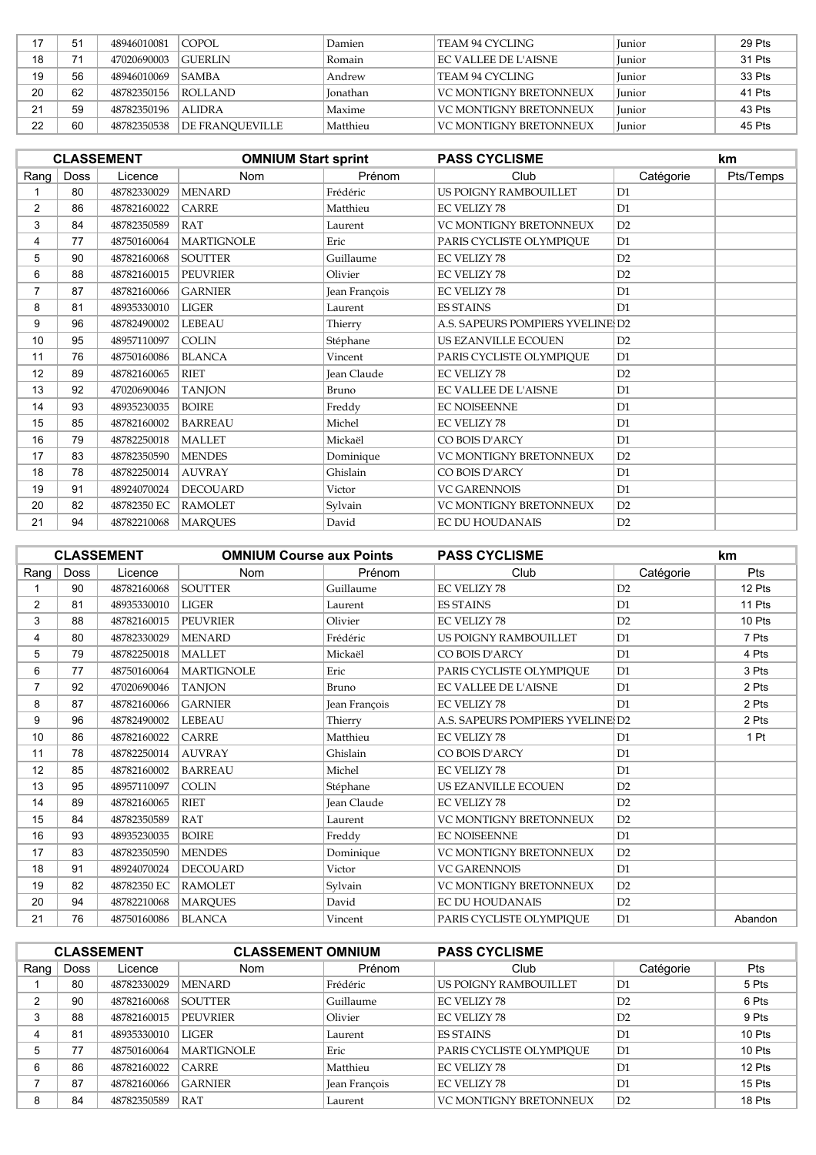| 17 | 51 | 48946010081 | COPOL.          | Damien          | TEAM 94 CYCLING               | <b>Iunior</b> | 29 Pts |
|----|----|-------------|-----------------|-----------------|-------------------------------|---------------|--------|
| 18 |    | 47020690003 | GUERLIN         | Romain          | EC VALLEE DE L'AISNE          | <b>Iunior</b> | 31 Pts |
| 19 | 56 | 48946010069 | <b>SAMBA</b>    | Andrew          | TEAM 94 CYCLING               | <b>Iunior</b> | 33 Pts |
| 20 | 62 | 48782350156 | ROLLAND         | <b>Ionathan</b> | VC MONTIGNY BRETONNEUX        | <b>Iunior</b> | 41 Pts |
| 21 | 59 | 48782350196 | <b>ALIDRA</b>   | Maxime          | <b>VC MONTIGNY BRETONNEUX</b> | <b>Iunior</b> | 43 Pts |
| 22 | 60 | 48782350538 | DE FRANOUEVILLE | Matthieu        | <b>VC MONTIGNY BRETONNEUX</b> | <b>Iunior</b> | 45 Pts |

|                |      | <b>CLASSEMENT</b> | <b>OMNIUM Start sprint</b> |                    | <b>PASS CYCLISME</b>             |                | <b>km</b> |
|----------------|------|-------------------|----------------------------|--------------------|----------------------------------|----------------|-----------|
| Rang           | Doss | Licence           | <b>Nom</b>                 | Prénom             | Club                             | Catégorie      | Pts/Temps |
|                | 80   | 48782330029       | <b>MENARD</b>              | Frédéric           | US POIGNY RAMBOUILLET            | D1             |           |
| 2              | 86   | 48782160022       | <b>CARRE</b>               | Matthieu           | <b>EC VELIZY 78</b>              | D1             |           |
| 3              | 84   | 48782350589       | <b>RAT</b>                 | Laurent            | VC MONTIGNY BRETONNEUX           | D2             |           |
| 4              | 77   | 48750160064       | <b>MARTIGNOLE</b>          | Eric               | PARIS CYCLISTE OLYMPIOUE         | D1             |           |
| 5              | 90   | 48782160068       | <b>SOUTTER</b>             | Guillaume          | <b>EC VELIZY 78</b>              | D2             |           |
| 6              | 88   | 48782160015       | <b>PEUVRIER</b>            | Olivier            | <b>EC VELIZY 78</b>              | D2             |           |
| $\overline{7}$ | 87   | 48782160066       | <b>GARNIER</b>             | Jean François      | <b>EC VELIZY 78</b>              | D1             |           |
| 8              | 81   | 48935330010       | <b>LIGER</b>               | Laurent            | <b>ES STAINS</b>                 | D1             |           |
| 9              | 96   | 48782490002       | <b>LEBEAU</b>              | Thierry            | A.S. SAPEURS POMPIERS YVELINE D2 |                |           |
| 10             | 95   | 48957110097       | <b>COLIN</b>               | Stéphane           | US EZANVILLE ECOUEN              | D2             |           |
| 11             | 76   | 48750160086       | <b>BLANCA</b>              | Vincent            | PARIS CYCLISTE OLYMPIQUE         | D1             |           |
| 12             | 89   | 48782160065       | <b>RIET</b>                | <b>Jean Claude</b> | <b>EC VELIZY 78</b>              | D2             |           |
| 13             | 92   | 47020690046       | <b>TANJON</b>              | Bruno              | <b>EC VALLEE DE L'AISNE</b>      | D1             |           |
| 14             | 93   | 48935230035       | <b>BOIRE</b>               | Freddy             | <b>EC NOISEENNE</b>              | D1             |           |
| 15             | 85   | 48782160002       | <b>BARREAU</b>             | Michel             | <b>EC VELIZY 78</b>              | D1             |           |
| 16             | 79   | 48782250018       | <b>MALLET</b>              | Mickaël            | CO BOIS D'ARCY                   | D1             |           |
| 17             | 83   | 48782350590       | <b>MENDES</b>              | Dominique          | VC MONTIGNY BRETONNEUX           | D2             |           |
| 18             | 78   | 48782250014       | <b>AUVRAY</b>              | Ghislain           | CO BOIS D'ARCY                   | D <sub>1</sub> |           |
| 19             | 91   | 48924070024       | <b>DECOUARD</b>            | Victor             | <b>VC GARENNOIS</b>              | D1             |           |
| 20             | 82   | 48782350 EC       | <b>RAMOLET</b>             | Sylvain            | <b>VC MONTIGNY BRETONNEUX</b>    | D2             |           |
| 21             | 94   | 48782210068       | <b>MARQUES</b>             | David              | <b>EC DU HOUDANAIS</b>           | D2             |           |

|                |      | <b>CLASSEMENT</b> | <b>OMNIUM Course aux Points</b> |                    | <b>PASS CYCLISME</b>             |                | km      |
|----------------|------|-------------------|---------------------------------|--------------------|----------------------------------|----------------|---------|
| Rang           | Doss | Licence           | <b>Nom</b>                      | Prénom             | Club                             | Catégorie      | Pts     |
|                | 90   | 48782160068       | <b>SOUTTER</b>                  | Guillaume          | <b>EC VELIZY 78</b>              | D2             | 12 Pts  |
| $\overline{2}$ | 81   | 48935330010       | <b>LIGER</b>                    | Laurent            | <b>ES STAINS</b>                 | D <sub>1</sub> | 11 Pts  |
| 3              | 88   | 48782160015       | <b>PEUVRIER</b>                 | Olivier            | <b>EC VELIZY 78</b>              | D2             | 10 Pts  |
| 4              | 80   | 48782330029       | <b>MENARD</b>                   | Frédéric           | <b>US POIGNY RAMBOUILLET</b>     | D1             | 7 Pts   |
| 5              | 79   | 48782250018       | <b>MALLET</b>                   | Mickaël            | CO BOIS D'ARCY                   | D1             | 4 Pts   |
| 6              | 77   | 48750160064       | <b>MARTIGNOLE</b>               | Eric               | PARIS CYCLISTE OLYMPIOUE         | D1             | 3 Pts   |
| $\overline{7}$ | 92   | 47020690046       | <b>TANJON</b>                   | Bruno              | <b>EC VALLEE DE L'AISNE</b>      | D1             | 2 Pts   |
| 8              | 87   | 48782160066       | <b>GARNIER</b>                  | Jean François      | <b>EC VELIZY 78</b>              | D1             | 2 Pts   |
| 9              | 96   | 48782490002       | <b>LEBEAU</b>                   | Thierry            | A.S. SAPEURS POMPIERS YVELINE D2 |                | 2 Pts   |
| 10             | 86   | 48782160022       | <b>CARRE</b>                    | Matthieu           | EC VELIZY 78                     | D1             | 1 Pt    |
| 11             | 78   | 48782250014       | <b>AUVRAY</b>                   | Ghislain           | CO BOIS D'ARCY                   | D1             |         |
| 12             | 85   | 48782160002       | <b>BARREAU</b>                  | Michel             | <b>EC VELIZY 78</b>              | D1             |         |
| 13             | 95   | 48957110097       | <b>COLIN</b>                    | Stéphane           | US EZANVILLE ECOUEN              | D2             |         |
| 14             | 89   | 48782160065       | <b>RIET</b>                     | <b>Jean Claude</b> | <b>EC VELIZY 78</b>              | D2             |         |
| 15             | 84   | 48782350589       | <b>RAT</b>                      | Laurent            | VC MONTIGNY BRETONNEUX           | D2             |         |
| 16             | 93   | 48935230035       | <b>BOIRE</b>                    | Freddy             | <b>EC NOISEENNE</b>              | D1             |         |
| 17             | 83   | 48782350590       | <b>MENDES</b>                   | Dominique          | <b>VC MONTIGNY BRETONNEUX</b>    | D2             |         |
| 18             | 91   | 48924070024       | <b>DECOUARD</b>                 | Victor             | <b>VC GARENNOIS</b>              | D1             |         |
| 19             | 82   | 48782350 EC       | <b>RAMOLET</b>                  | Sylvain            | VC MONTIGNY BRETONNEUX           | D2             |         |
| 20             | 94   | 48782210068       | <b>MARQUES</b>                  | David              | <b>EC DU HOUDANAIS</b>           | D2             |         |
| 21             | 76   | 48750160086       | <b>BLANCA</b>                   | Vincent            | PARIS CYCLISTE OLYMPIOUE         | D1             | Abandon |

| <b>CLASSEMENT</b> |             |             | <b>CLASSEMENT OMNIUM</b> |               | <b>PASS CYCLISME</b>     |           |        |
|-------------------|-------------|-------------|--------------------------|---------------|--------------------------|-----------|--------|
| Rang              | <b>Doss</b> | Licence     | <b>Nom</b>               | Prénom        | Club                     | Catégorie | Pts    |
|                   | 80          | 48782330029 | <b>MENARD</b>            | Frédéric      | US POIGNY RAMBOUILLET    | D1        | 5 Pts  |
| 2                 | 90          | 48782160068 | <b>SOUTTER</b>           | Guillaume     | <b>EC VELIZY 78</b>      | D2        | 6 Pts  |
|                   | 88          | 48782160015 | <b>PEUVRIER</b>          | Olivier       | <b>EC VELIZY 78</b>      | D2        | 9 Pts  |
|                   | 81          | 48935330010 | <b>LIGER</b>             | Laurent       | <b>ES STAINS</b>         | D1        | 10 Pts |
| 5                 | 77          | 48750160064 | <b>MARTIGNOLE</b>        | Eric          | PARIS CYCLISTE OLYMPIOUE | D1        | 10 Pts |
| 6                 | 86          | 48782160022 | <b>CARRE</b>             | Matthieu      | <b>EC VELIZY 78</b>      | D1        | 12 Pts |
|                   | 87          | 48782160066 | <b>GARNIER</b>           | Jean François | <b>EC VELIZY 78</b>      | D1        | 15 Pts |
| 8                 | 84          | 48782350589 | <b>RAT</b>               | Laurent       | VC MONTIGNY BRETONNEUX   | D2        | 18 Pts |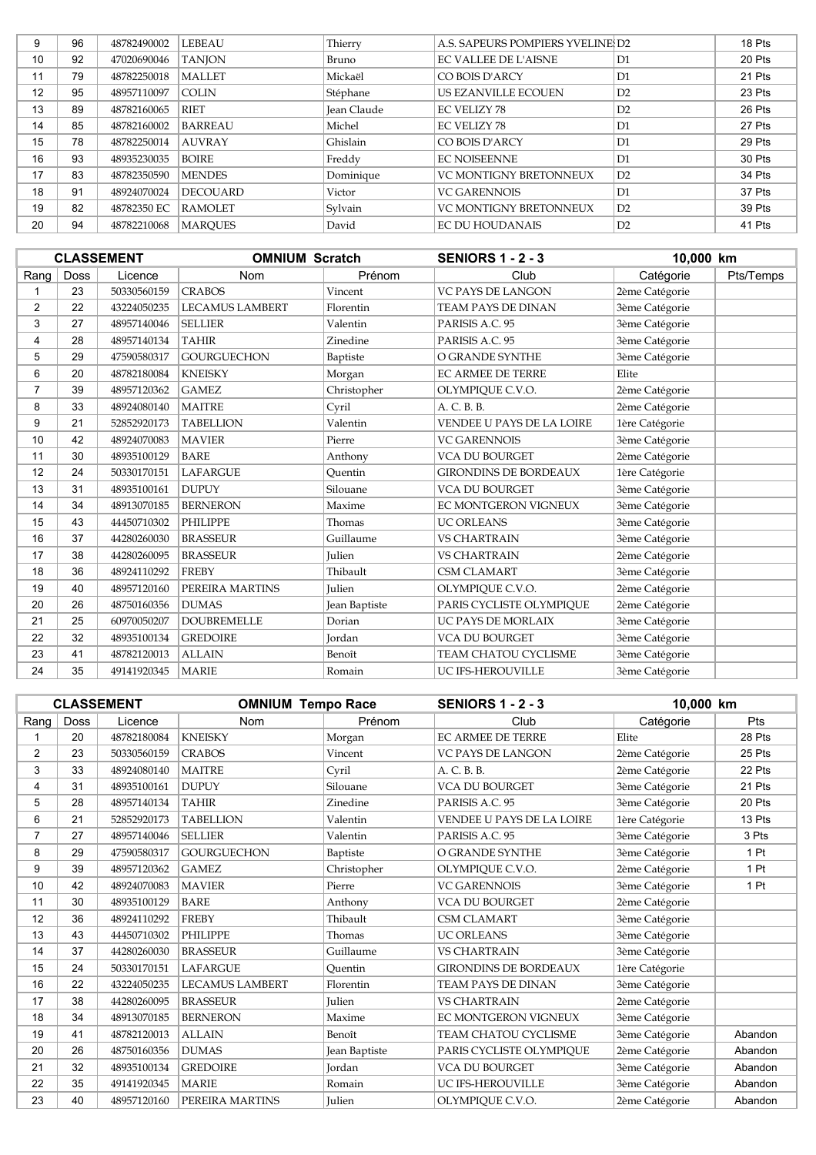| 9  | 96 | 48782490002 | <b>LEBEAU</b>   | Thierry            | A.S. SAPEURS POMPIERS YVELINE D2 |    | 18 Pts |
|----|----|-------------|-----------------|--------------------|----------------------------------|----|--------|
| 10 | 92 | 47020690046 | <b>TANION</b>   | Bruno              | <b>EC VALLEE DE L'AISNE</b>      | D1 | 20 Pts |
| 11 | 79 | 48782250018 | <b>MALLET</b>   | Mickaël            | CO BOIS D'ARCY                   | D1 | 21 Pts |
| 12 | 95 | 48957110097 | <b>COLIN</b>    | Stéphane           | US EZANVILLE ECOUEN              | D2 | 23 Pts |
| 13 | 89 | 48782160065 | <b>RIET</b>     | <b>Jean Claude</b> | <b>EC VELIZY 78</b>              | D2 | 26 Pts |
| 14 | 85 | 48782160002 | <b>BARREAU</b>  | Michel             | <b>EC VELIZY 78</b>              | D1 | 27 Pts |
| 15 | 78 | 48782250014 | <b>AUVRAY</b>   | Ghislain           | CO BOIS D'ARCY                   | D1 | 29 Pts |
| 16 | 93 | 48935230035 | <b>BOIRE</b>    | Freddy             | <b>EC NOISEENNE</b>              | D1 | 30 Pts |
| 17 | 83 | 48782350590 | <b>MENDES</b>   | Dominique          | <b>VC MONTIGNY BRETONNEUX</b>    | D2 | 34 Pts |
| 18 | 91 | 48924070024 | <b>DECOUARD</b> | Victor             | <b>VC GARENNOIS</b>              | D1 | 37 Pts |
| 19 | 82 | 48782350 EC | <b>RAMOLET</b>  | Sylvain            | <b>VC MONTIGNY BRETONNEUX</b>    | D2 | 39 Pts |
| 20 | 94 | 48782210068 | <b>MAROUES</b>  | David              | <b>EC DU HOUDANAIS</b>           | D2 | 41 Pts |

|      |             | <b>CLASSEMENT</b> | <b>OMNIUM Scratch</b>  |               | <b>SENIORS 1 - 2 - 3</b>     | 10,000 km      |           |
|------|-------------|-------------------|------------------------|---------------|------------------------------|----------------|-----------|
| Rang | <b>Doss</b> | Licence           | <b>Nom</b>             | Prénom        | Club                         | Catégorie      | Pts/Temps |
|      | 23          | 50330560159       | <b>CRABOS</b>          | Vincent       | <b>VC PAYS DE LANGON</b>     | 2ème Catégorie |           |
| 2    | 22          | 43224050235       | <b>LECAMUS LAMBERT</b> | Florentin     | <b>TEAM PAYS DE DINAN</b>    | 3ème Catégorie |           |
| 3    | 27          | 48957140046       | <b>SELLIER</b>         | Valentin      | PARISIS A.C. 95              | 3ème Catégorie |           |
| 4    | 28          | 48957140134       | <b>TAHIR</b>           | Zinedine      | PARISIS A.C. 95              | 3ème Catégorie |           |
| 5    | 29          | 47590580317       | <b>GOURGUECHON</b>     | Baptiste      | O GRANDE SYNTHE              | 3ème Catégorie |           |
| 6    | 20          | 48782180084       | <b>KNEISKY</b>         | Morgan        | <b>EC ARMEE DE TERRE</b>     | Elite          |           |
| 7    | 39          | 48957120362       | <b>GAMEZ</b>           | Christopher   | OLYMPIQUE C.V.O.             | 2ème Catégorie |           |
| 8    | 33          | 48924080140       | <b>MAITRE</b>          | Cyril         | A. C. B. B.                  | 2ème Catégorie |           |
| 9    | 21          | 52852920173       | <b>TABELLION</b>       | Valentin      | VENDEE U PAYS DE LA LOIRE    | 1ère Catégorie |           |
| 10   | 42          | 48924070083       | <b>MAVIER</b>          | Pierre        | <b>VC GARENNOIS</b>          | 3ème Catégorie |           |
| 11   | 30          | 48935100129       | <b>BARE</b>            | Anthony       | <b>VCA DU BOURGET</b>        | 2ème Catégorie |           |
| 12   | 24          | 50330170151       | <b>LAFARGUE</b>        | Ouentin       | <b>GIRONDINS DE BORDEAUX</b> | 1ère Catégorie |           |
| 13   | 31          | 48935100161       | <b>DUPUY</b>           | Silouane      | <b>VCA DU BOURGET</b>        | 3ème Catégorie |           |
| 14   | 34          | 48913070185       | <b>BERNERON</b>        | Maxime        | EC MONTGERON VIGNEUX         | 3ème Catégorie |           |
| 15   | 43          | 44450710302       | <b>PHILIPPE</b>        | Thomas        | <b>UC ORLEANS</b>            | 3ème Catégorie |           |
| 16   | 37          | 44280260030       | <b>BRASSEUR</b>        | Guillaume     | <b>VS CHARTRAIN</b>          | 3ème Catégorie |           |
| 17   | 38          | 44280260095       | <b>BRASSEUR</b>        | <b>Julien</b> | <b>VS CHARTRAIN</b>          | 2ème Catégorie |           |
| 18   | 36          | 48924110292       | <b>FREBY</b>           | Thibault      | <b>CSM CLAMART</b>           | 3ème Catégorie |           |
| 19   | 40          | 48957120160       | PEREIRA MARTINS        | <b>Julien</b> | OLYMPIOUE C.V.O.             | 2ème Catégorie |           |
| 20   | 26          | 48750160356       | <b>DUMAS</b>           | Jean Baptiste | PARIS CYCLISTE OLYMPIOUE     | 2ème Catégorie |           |
| 21   | 25          | 60970050207       | <b>DOUBREMELLE</b>     | Dorian        | UC PAYS DE MORLAIX           | 3ème Catégorie |           |
| 22   | 32          | 48935100134       | <b>GREDOIRE</b>        | Jordan        | <b>VCA DU BOURGET</b>        | 3ème Catégorie |           |
| 23   | 41          | 48782120013       | <b>ALLAIN</b>          | Benoît        | TEAM CHATOU CYCLISME         | 3ème Catégorie |           |
| 24   | 35          | 49141920345       | <b>MARIE</b>           | Romain        | UC IFS-HEROUVILLE            | 3ème Catégorie |           |

|                |      | <b>CLASSEMENT</b> | <b>OMNIUM Tempo Race</b> |               | <b>SENIORS 1 - 2 - 3</b>     | 10.000 km      |         |
|----------------|------|-------------------|--------------------------|---------------|------------------------------|----------------|---------|
| Rang           | Doss | Licence           | <b>Nom</b>               | Prénom        | Club                         | Catégorie      | Pts     |
|                | 20   | 48782180084       | <b>KNEISKY</b>           | Morgan        | <b>EC ARMEE DE TERRE</b>     | Elite          | 28 Pts  |
| $\overline{2}$ | 23   | 50330560159       | <b>CRABOS</b>            | Vincent       | <b>VC PAYS DE LANGON</b>     | 2ème Catégorie | 25 Pts  |
| 3              | 33   | 48924080140       | <b>MAITRE</b>            | Cvril         | A. C. B. B.                  | 2ème Catégorie | 22 Pts  |
| 4              | 31   | 48935100161       | <b>DUPUY</b>             | Silouane      | <b>VCA DU BOURGET</b>        | 3ème Catégorie | 21 Pts  |
| 5              | 28   | 48957140134       | <b>TAHIR</b>             | Zinedine      | PARISIS A.C. 95              | 3ème Catégorie | 20 Pts  |
| 6              | 21   | 52852920173       | <b>TABELLION</b>         | Valentin      | VENDEE U PAYS DE LA LOIRE    | 1ère Catégorie | 13 Pts  |
| $\overline{7}$ | 27   | 48957140046       | <b>SELLIER</b>           | Valentin      | PARISIS A.C. 95              | 3ème Catégorie | 3 Pts   |
| 8              | 29   | 47590580317       | <b>GOURGUECHON</b>       | Baptiste      | O GRANDE SYNTHE              | 3ème Catégorie | 1 Pt    |
| 9              | 39   | 48957120362       | <b>GAMEZ</b>             | Christopher   | OLYMPIOUE C.V.O.             | 2ème Catégorie | 1 Pt    |
| 10             | 42   | 48924070083       | <b>MAVIER</b>            | Pierre        | <b>VC GARENNOIS</b>          | 3ème Catégorie | 1 Pt    |
| 11             | 30   | 48935100129       | <b>BARE</b>              | Anthony       | <b>VCA DU BOURGET</b>        | 2ème Catégorie |         |
| 12             | 36   | 48924110292       | <b>FREBY</b>             | Thibault      | <b>CSM CLAMART</b>           | 3ème Catégorie |         |
| 13             | 43   | 44450710302       | <b>PHILIPPE</b>          | Thomas        | <b>UC ORLEANS</b>            | 3ème Catégorie |         |
| 14             | 37   | 44280260030       | <b>BRASSEUR</b>          | Guillaume     | <b>VS CHARTRAIN</b>          | 3ème Catégorie |         |
| 15             | 24   | 50330170151       | <b>LAFARGUE</b>          | Ouentin       | <b>GIRONDINS DE BORDEAUX</b> | 1ère Catégorie |         |
| 16             | 22   | 43224050235       | <b>LECAMUS LAMBERT</b>   | Florentin     | TEAM PAYS DE DINAN           | 3ème Catégorie |         |
| 17             | 38   | 44280260095       | <b>BRASSEUR</b>          | <b>Julien</b> | <b>VS CHARTRAIN</b>          | 2ème Catégorie |         |
| 18             | 34   | 48913070185       | <b>BERNERON</b>          | Maxime        | EC MONTGERON VIGNEUX         | 3ème Catégorie |         |
| 19             | 41   | 48782120013       | <b>ALLAIN</b>            | Benoît        | <b>TEAM CHATOU CYCLISME</b>  | 3ème Catégorie | Abandon |
| 20             | 26   | 48750160356       | <b>DUMAS</b>             | Jean Baptiste | PARIS CYCLISTE OLYMPIOUE     | 2ème Catégorie | Abandon |
| 21             | 32   | 48935100134       | <b>GREDOIRE</b>          | Jordan        | <b>VCA DU BOURGET</b>        | 3ème Catégorie | Abandon |
| 22             | 35   | 49141920345       | <b>MARIE</b>             | Romain        | UC IFS-HEROUVILLE            | 3ème Catégorie | Abandon |
| 23             | 40   | 48957120160       | PEREIRA MARTINS          | Julien        | OLYMPIOUE C.V.O.             | 2ème Catégorie | Abandon |